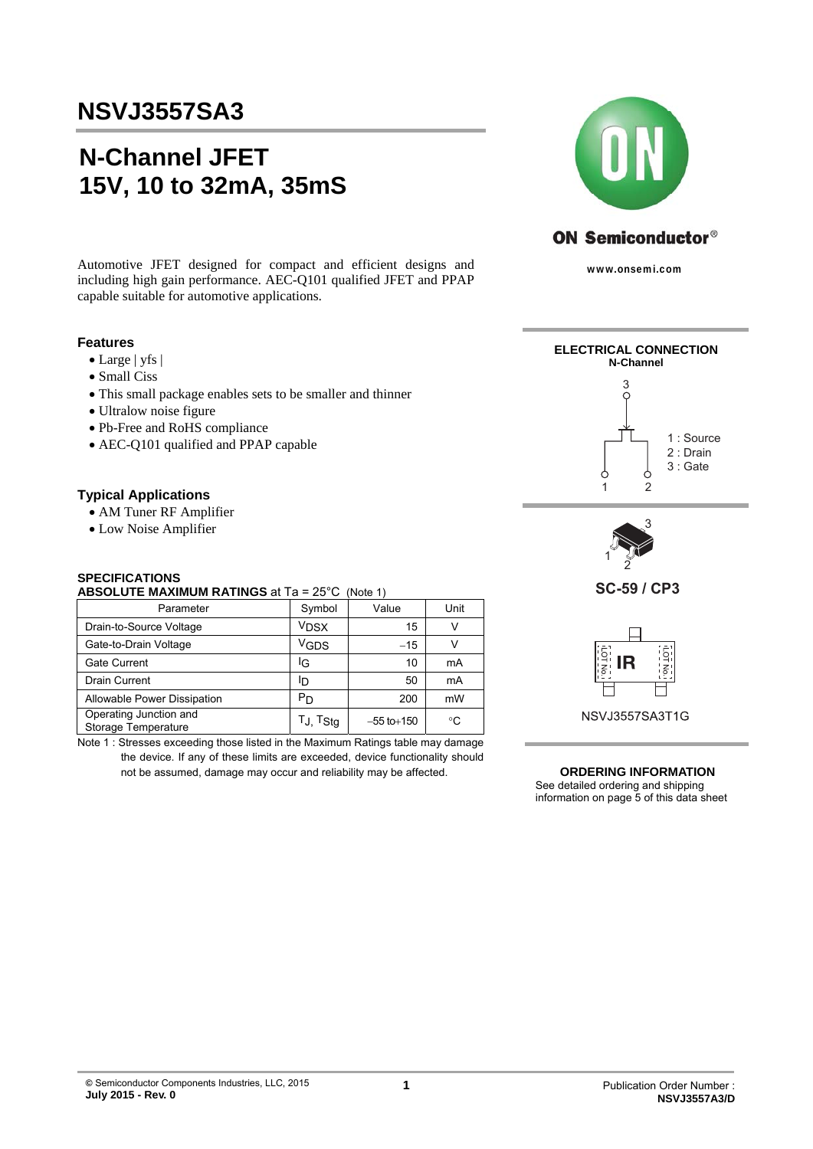# **N-Channel JFET 15V, 10 to 32mA, 35mS**

Automotive JFET designed for compact and efficient designs and including high gain performance. AEC-Q101 qualified JFET and PPAP capable suitable for automotive applications.

#### **Features**

- Large | yfs |
- Small Ciss
- This small package enables sets to be smaller and thinner
- Ultralow noise figure
- Pb-Free and RoHS compliance
- AEC-Q101 qualified and PPAP capable

## **Typical Applications**

- AM Tuner RF Amplifier
- Low Noise Amplifier

### **SPECIFICATIONS**

#### **ABSOLUTE MAXIMUM RATINGS** at Ta = 25°C (Note 1)

| Parameter                                     | Symbol                   | Value          | Unit |
|-----------------------------------------------|--------------------------|----------------|------|
| Drain-to-Source Voltage                       | <b>V<sub>DSX</sub></b>   | 15             | v    |
| Gate-to-Drain Voltage                         | VGDS                     | $-15$          |      |
| Gate Current                                  | ΙG                       | 10             | mA   |
| <b>Drain Current</b>                          | סי                       | 50             | mA   |
| Allowable Power Dissipation                   | P <sub>D</sub>           | 200            | mW   |
| Operating Junction and<br>Storage Temperature | $T_J$ , $T_{\text{Stg}}$ | $-55$ to + 150 | °C   |

Note 1 : Stresses exceeding those listed in the Maximum Ratings table may damage the device. If any of these limits are exceeded, device functionality should not be assumed, damage may occur and reliability may be affected.



www.onsemi.com



#### **ORDERING INFORMATION**

See detailed ordering and shipping information on page 5 of this data sheet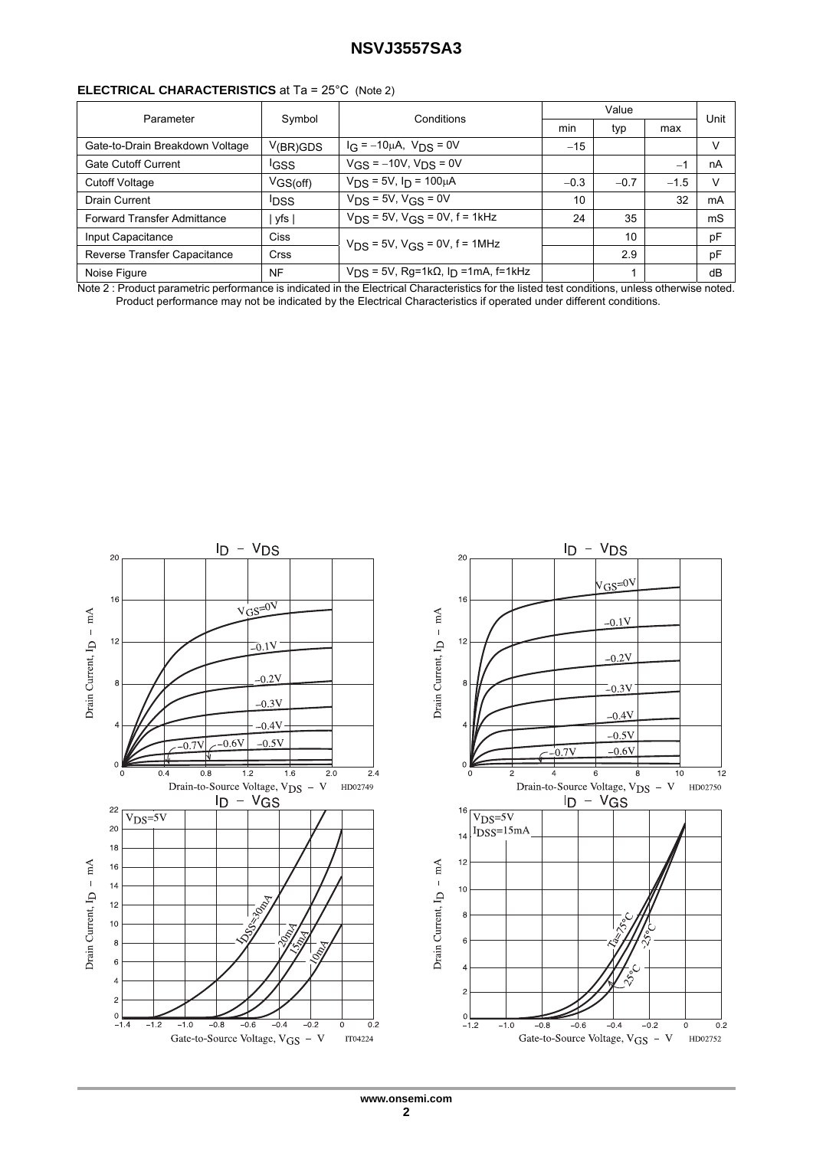### **ELECTRICAL CHARACTERISTICS** at Ta = 25°C (Note 2)

| Parameter                       | Symbol                | Conditions                                                  | Value  |        |        | Unit |  |
|---------------------------------|-----------------------|-------------------------------------------------------------|--------|--------|--------|------|--|
|                                 |                       |                                                             |        | typ    | max    |      |  |
| Gate-to-Drain Breakdown Voltage | V <sub>(BR)</sub> GDS | $I_G = -10\mu A$ , $V_{DS} = 0V$                            | $-15$  |        |        | ν    |  |
| <b>Gate Cutoff Current</b>      | <b>IGSS</b>           | $V$ <sub>GS</sub> = $-10V$ , $V_{DS}$ = 0V                  |        |        | $-1$   | nA   |  |
| <b>Cutoff Voltage</b>           | V <sub>GS(off)</sub>  | $V_{DS}$ = 5V, $I_D$ = 100µA                                | $-0.3$ | $-0.7$ | $-1.5$ | ν    |  |
| Drain Current                   | <b>IDSS</b>           | $V_{DS}$ = 5V, $V_{GS}$ = 0V                                | 10     |        | 32     | mA   |  |
| Forward Transfer Admittance     | yfs                   | $V_{DS}$ = 5V, $V_{GS}$ = 0V, f = 1kHz                      | 24     | 35     |        | mS   |  |
| Input Capacitance               | <b>Ciss</b>           | $V_{DS}$ = 5V, $V_{GS}$ = 0V, f = 1MHz                      |        | 10     |        | pF   |  |
| Reverse Transfer Capacitance    | <b>Crss</b>           |                                                             |        | 2.9    |        | pF   |  |
| Noise Figure                    | <b>NF</b>             | $V_{DS}$ = 5V, Rg=1k $\Omega$ , I <sub>D</sub> =1mA, f=1kHz |        |        |        | dB   |  |

Note 2 : Product parametric performance is indicated in the Electrical Characteristics for the listed test conditions, unless otherwise noted. Product performance may not be indicated by the Electrical Characteristics if operated under different conditions.

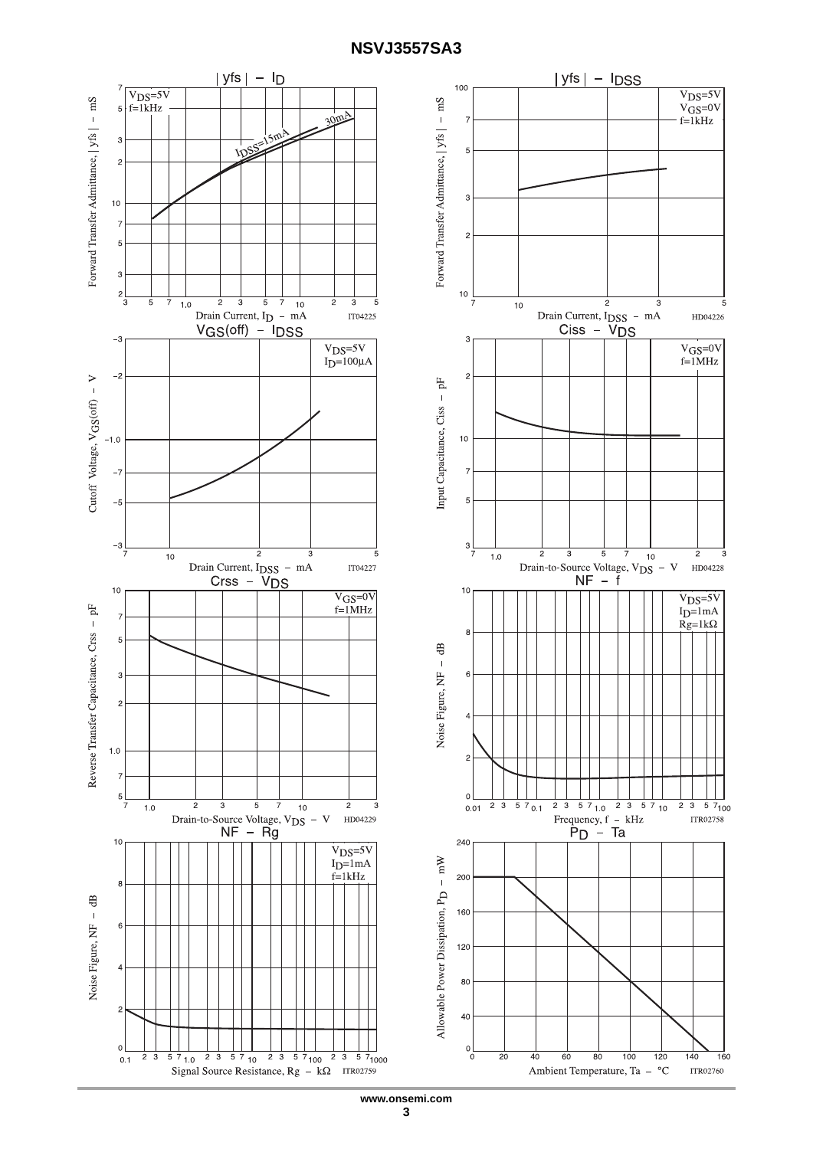

**www.onsemi.com 3**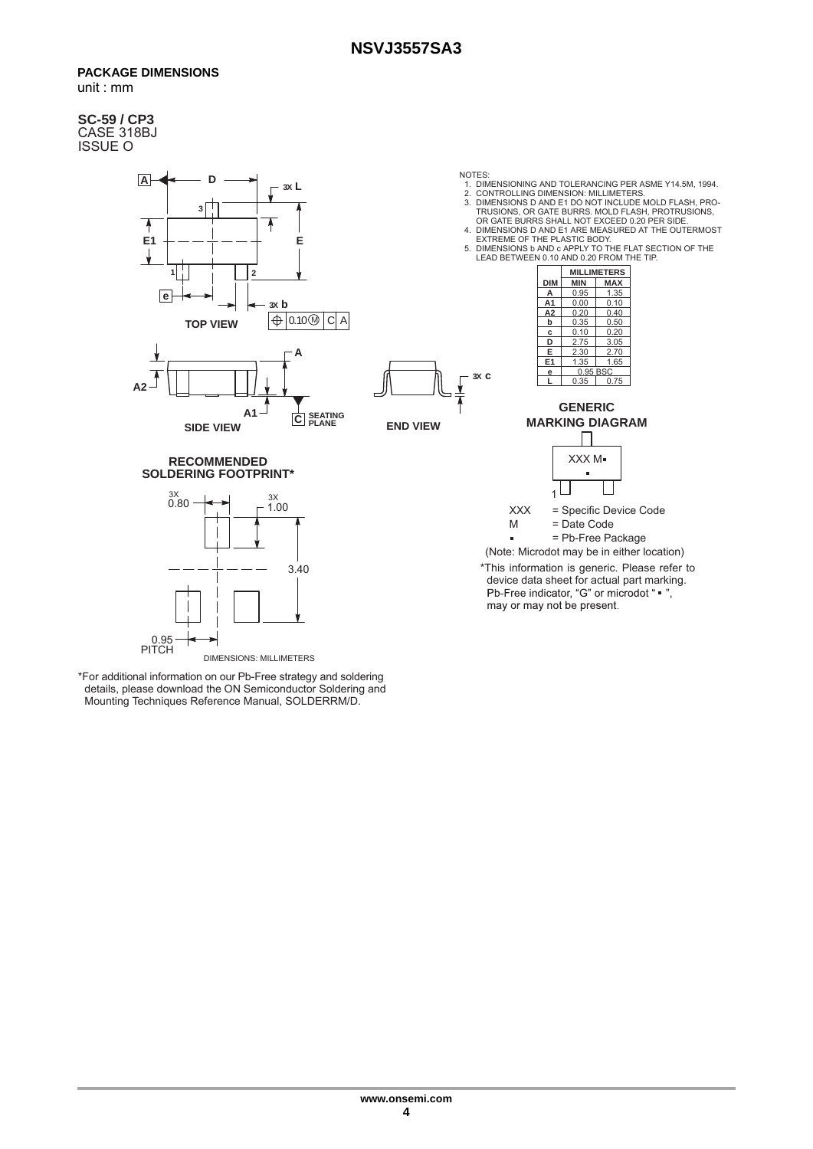#### **PACKAGE DIMENSIONS**  unit : mm

#### **SC-59 / CP3** CASE 318BJ ISSUE O



\*For additional information on our Pb-Free strategy and soldering details, please download the ON Semiconductor Soldering and Mounting Techniques Reference Manual, SOLDERRM/D.

0.95 PITCH

DIMENSIONS: MILLIMETERS